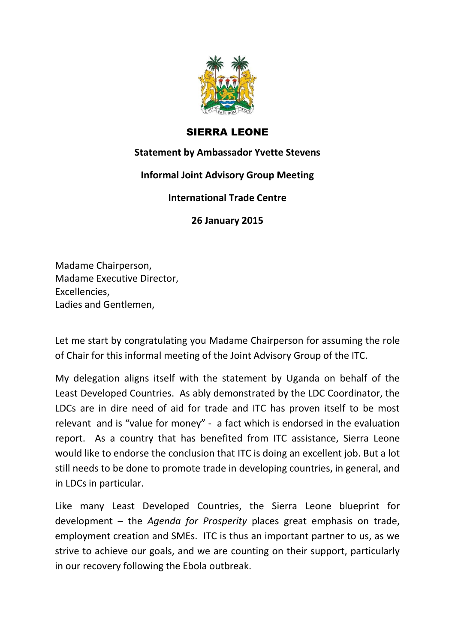

## SIERRA LEONE

## **Statement by Ambassador Yvette Stevens**

## **Informal Joint Advisory Group Meeting**

## **International Trade Centre**

**26 January 2015**

Madame Chairperson, Madame Executive Director, Excellencies, Ladies and Gentlemen,

Let me start by congratulating you Madame Chairperson for assuming the role of Chair for this informal meeting of the Joint Advisory Group of the ITC.

My delegation aligns itself with the statement by Uganda on behalf of the Least Developed Countries. As ably demonstrated by the LDC Coordinator, the LDCs are in dire need of aid for trade and ITC has proven itself to be most relevant and is "value for money" - a fact which is endorsed in the evaluation report. As a country that has benefited from ITC assistance, Sierra Leone would like to endorse the conclusion that ITC is doing an excellent job. But a lot still needs to be done to promote trade in developing countries, in general, and in LDCs in particular.

Like many Least Developed Countries, the Sierra Leone blueprint for development – the *Agenda for Prosperity* places great emphasis on trade, employment creation and SMEs. ITC is thus an important partner to us, as we strive to achieve our goals, and we are counting on their support, particularly in our recovery following the Ebola outbreak.